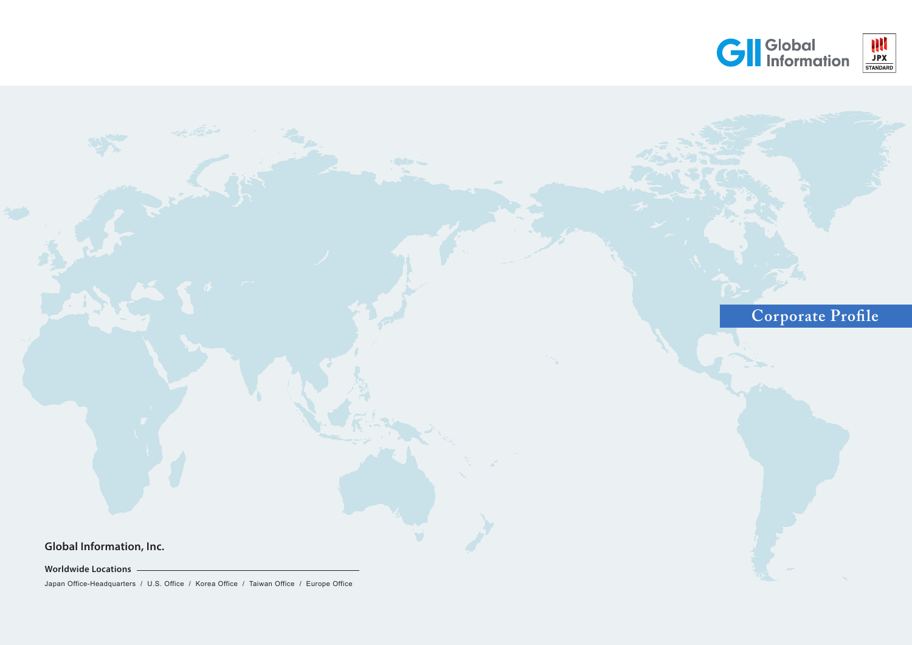**Worldwide Locations**



Japan Office-Headquarters / U.S. Office / Korea Office / Taiwan Office / Europe Office

# **GI** Global<br>Information

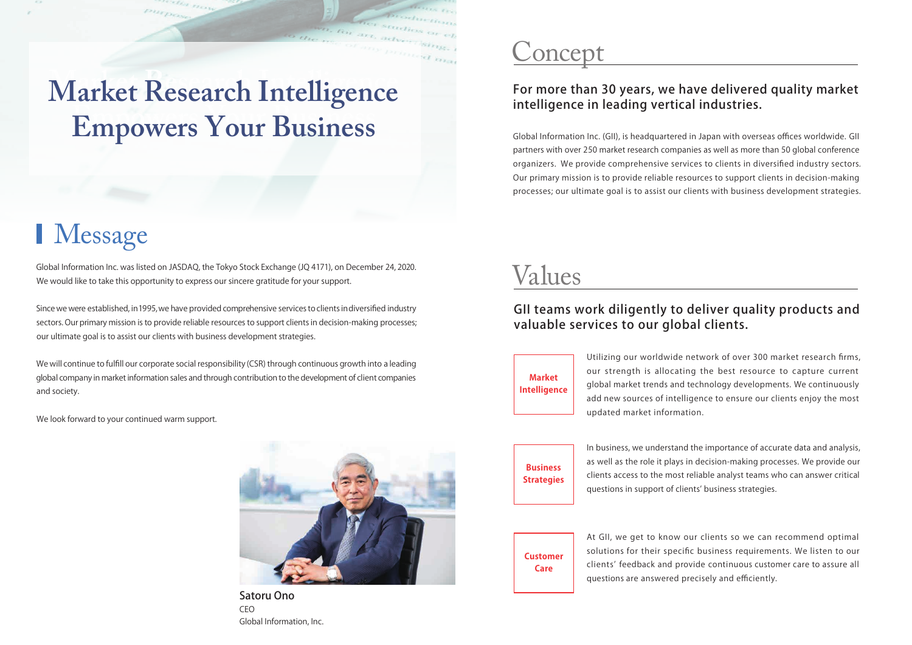## For more than 30 years, we have delivered quality market intelligence in leading vertical industries.

## Concept

Global Information Inc. (GII), is headquartered in Japan with overseas offices worldwide. GII partners with over 250 market research companies as well as more than 50 global conference organizers. We provide comprehensive services to clients in diversified industry sectors. Our primary mission is to provide reliable resources to support clients in decision-making processes; our ultimate goal is to assist our clients with business development strategies.

## GII teams work diligently to deliver quality products and valuable services to our global clients.

## Values

Utilizing our worldwide network of over 300 market research firms, our strength is allocating the best resource to capture current global market trends and technology developments. We continuously add new sources of intelligence to ensure our clients enjoy the most updated market information.

**Market Intelligence**

> In business, we understand the importance of accurate data and analysis, as well as the role it plays in decision-making processes. We provide our clients access to the most reliable analyst teams who can answer critical questions in support of clients' business strategies.

**Business Strategies**

> At GII, we get to know our clients so we can recommend optimal solutions for their specific business requirements. We listen to our clients' feedback and provide continuous customer care to assure all questions are answered precisely and efficiently.

**Customer Care**

Global Information Inc. was listed on JASDAQ, the Tokyo Stock Exchange (JQ 4171), on December 24, 2020. We would like to take this opportunity to express our sincere gratitude for your support.

Since we were established, in1995,we have provided comprehensive services to clients indiversified industry sectors. Our primary mission is to provide reliable resources to support clients in decision-making processes; our ultimate goal is to assist our clients with business development strategies.

We will continue to fulfill our corporate social responsibility (CSR) through continuous growth into a leading global company in market information sales and through contribution to the development of client companies and society.

We look forward to your continued warm support.



Satoru Ono CEO Global Information, Inc.

# **Market Research Intelligence Empowers Your Business**

**CELL** 

Purpe

# I Message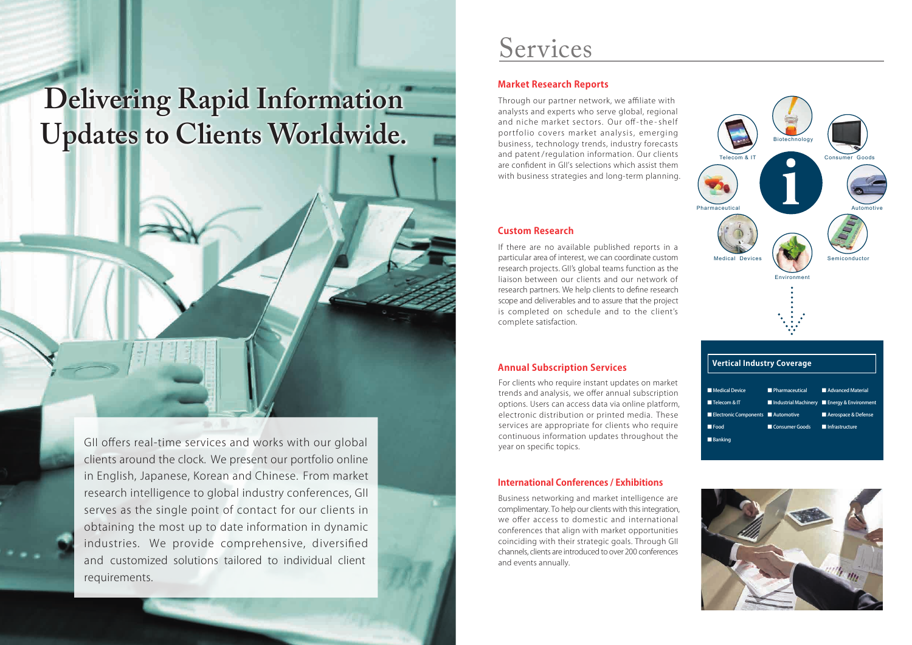GII offers real-time services and works with our global clients around the clock. We present our portfolio online in English, Japanese, Korean and Chinese. From market research intelligence to global industry conferences, GII serves as the single point of contact for our clients in obtaining the most up to date information in dynamic industries. We provide comprehensive, diversified and customized solutions tailored to individual client requirements.

# **Delivering Rapid Information Updates to Clients Worldwide.**

## **Market Research Reports**

## **Annual Subscription Services**

### **Custom Research**

### **International Conferences / Exhibitions**

## Services

For clients who require instant updates on market trends and analysis, we offer annual subscription options. Users can access data via online platform, electronic distribution or printed media. These services are appropriate for clients who require continuous information updates throughout the year on specific topics.

If there are no available published reports in a particular area of interest, we can coordinate custom research projects. GII's global teams function as the liaison between our clients and our network of research partners. We help clients to define research scope and deliverables and to assure that the project is completed on schedule and to the client's complete satisfaction.





Through our partner network, we affiliate with analysts and experts who serve global, regional and niche market sectors. Our off-the - shelf portfolio covers market analysis, emerging business, technology trends, industry forecasts and patent /regulation information. Our clients are confident in GII's selections which assist them with business strategies and long-term planning.

Business networking and market intelligence are complimentary. To help our clients with this integration, we offer access to domestic and international conferences that align with market opportunities coinciding with their strategic goals. Through GII channels, clients are introduced to over 200 conferences and events annually.